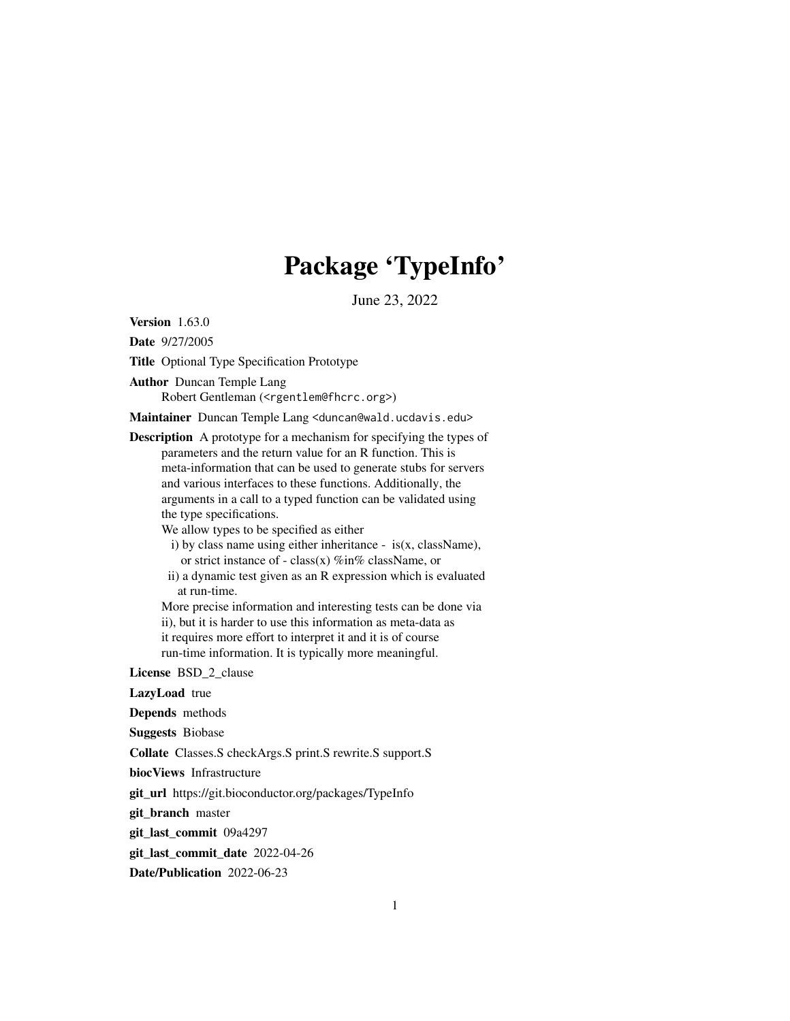# Package 'TypeInfo'

June 23, 2022

<span id="page-0-0"></span>Version 1.63.0

Date 9/27/2005

Title Optional Type Specification Prototype

Author Duncan Temple Lang

Robert Gentleman (<rgentlem@fhcrc.org>)

Maintainer Duncan Temple Lang <duncan@wald.ucdavis.edu>

Description A prototype for a mechanism for specifying the types of parameters and the return value for an R function. This is meta-information that can be used to generate stubs for servers and various interfaces to these functions. Additionally, the arguments in a call to a typed function can be validated using the type specifications.

We allow types to be specified as either

- i) by class name using either inheritance is(x, className), or strict instance of - class(x) %in% className, or
- ii) a dynamic test given as an R expression which is evaluated at run-time.

More precise information and interesting tests can be done via ii), but it is harder to use this information as meta-data as it requires more effort to interpret it and it is of course run-time information. It is typically more meaningful.

License BSD\_2\_clause

LazyLoad true

Depends methods

Suggests Biobase

Collate Classes.S checkArgs.S print.S rewrite.S support.S

biocViews Infrastructure

git\_url https://git.bioconductor.org/packages/TypeInfo

git\_branch master

git\_last\_commit 09a4297

git last commit date 2022-04-26

Date/Publication 2022-06-23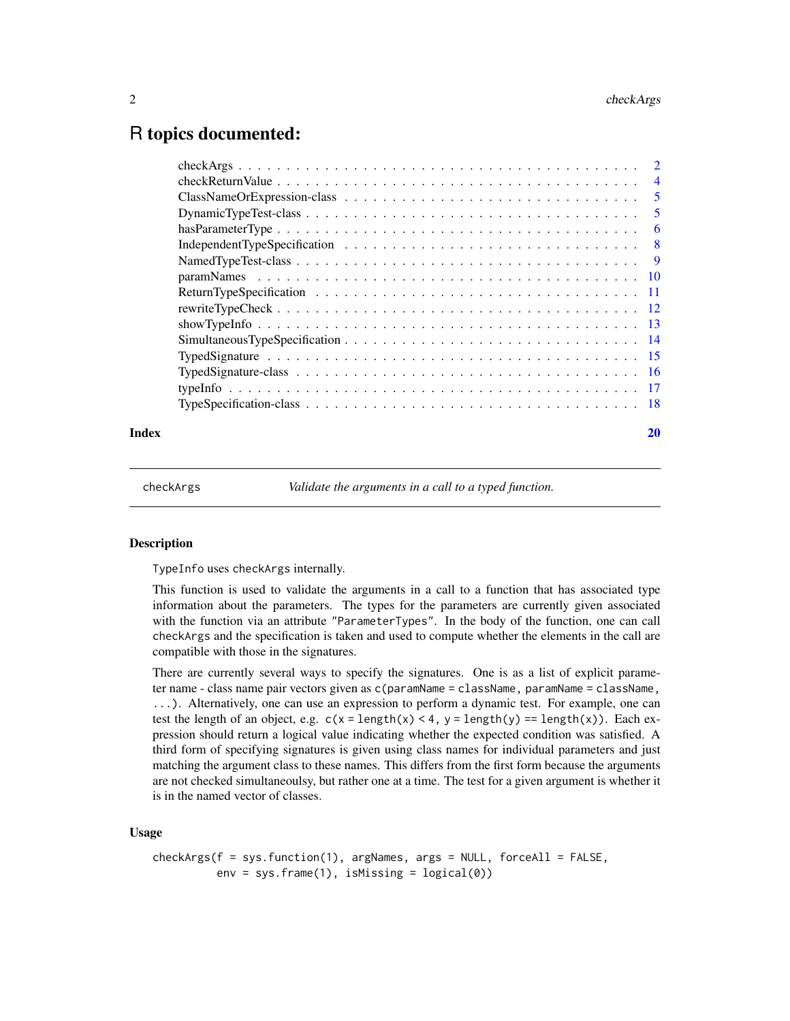# <span id="page-1-0"></span>R topics documented:

| Index | 20 |
|-------|----|

<span id="page-1-1"></span>

checkArgs *Validate the arguments in a call to a typed function.*

# Description

TypeInfo uses checkArgs internally.

This function is used to validate the arguments in a call to a function that has associated type information about the parameters. The types for the parameters are currently given associated with the function via an attribute "ParameterTypes". In the body of the function, one can call checkArgs and the specification is taken and used to compute whether the elements in the call are compatible with those in the signatures.

There are currently several ways to specify the signatures. One is as a list of explicit parameter name - class name pair vectors given as c(paramName = className, paramName = className, ...). Alternatively, one can use an expression to perform a dynamic test. For example, one can test the length of an object, e.g.  $c(x = length(x) < 4, y = length(y) = length(x))$ . Each expression should return a logical value indicating whether the expected condition was satisfied. A third form of specifying signatures is given using class names for individual parameters and just matching the argument class to these names. This differs from the first form because the arguments are not checked simultaneoulsy, but rather one at a time. The test for a given argument is whether it is in the named vector of classes.

# Usage

```
checkArgs(f = sys.function(1), argNames, args = NULL, forceAll = FALSE,
         env = sys.frame(1), isMissing = logical(0))
```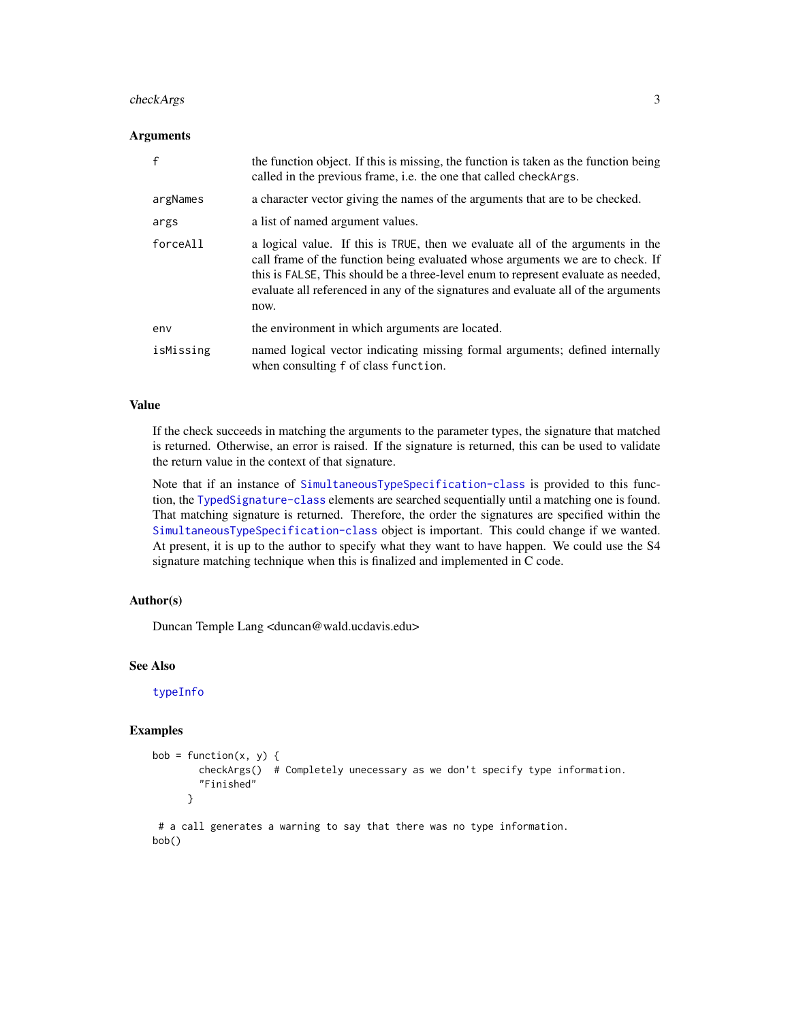#### <span id="page-2-0"></span>checkArgs 3

#### Arguments

| f         | the function object. If this is missing, the function is taken as the function being<br>called in the previous frame, <i>i.e.</i> the one that called checkargs.                                                                                                                                                                                    |
|-----------|-----------------------------------------------------------------------------------------------------------------------------------------------------------------------------------------------------------------------------------------------------------------------------------------------------------------------------------------------------|
| argNames  | a character vector giving the names of the arguments that are to be checked.                                                                                                                                                                                                                                                                        |
| args      | a list of named argument values.                                                                                                                                                                                                                                                                                                                    |
| forceAll  | a logical value. If this is TRUE, then we evaluate all of the arguments in the<br>call frame of the function being evaluated whose arguments we are to check. If<br>this is FALSE. This should be a three-level enum to represent evaluate as needed,<br>evaluate all referenced in any of the signatures and evaluate all of the arguments<br>now. |
| env       | the environment in which arguments are located.                                                                                                                                                                                                                                                                                                     |
| isMissing | named logical vector indicating missing formal arguments; defined internally<br>when consulting f of class function.                                                                                                                                                                                                                                |

# Value

If the check succeeds in matching the arguments to the parameter types, the signature that matched is returned. Otherwise, an error is raised. If the signature is returned, this can be used to validate the return value in the context of that signature.

Note that if an instance of [SimultaneousTypeSpecification-class](#page-17-1) is provided to this function, the [TypedSignature-class](#page-15-1) elements are searched sequentially until a matching one is found. That matching signature is returned. Therefore, the order the signatures are specified within the [SimultaneousTypeSpecification-class](#page-17-1) object is important. This could change if we wanted. At present, it is up to the author to specify what they want to have happen. We could use the S4 signature matching technique when this is finalized and implemented in C code.

# Author(s)

Duncan Temple Lang <duncan@wald.ucdavis.edu>

# See Also

[typeInfo](#page-16-1)

# Examples

```
bob = function(x, y) {
       checkArgs() # Completely unecessary as we don't specify type information.
        "Finished"
     }
```
# a call generates a warning to say that there was no type information. bob()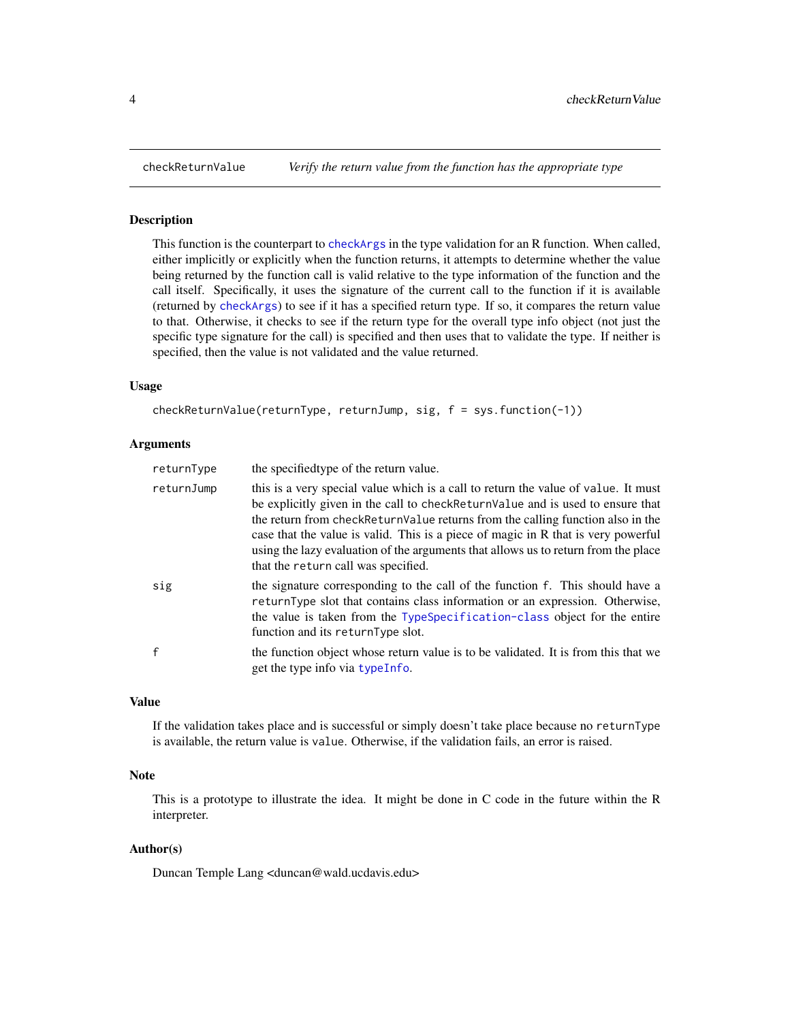#### Description

This function is the counterpart to [checkArgs](#page-1-1) in the type validation for an R function. When called, either implicitly or explicitly when the function returns, it attempts to determine whether the value being returned by the function call is valid relative to the type information of the function and the call itself. Specifically, it uses the signature of the current call to the function if it is available (returned by [checkArgs](#page-1-1)) to see if it has a specified return type. If so, it compares the return value to that. Otherwise, it checks to see if the return type for the overall type info object (not just the specific type signature for the call) is specified and then uses that to validate the type. If neither is specified, then the value is not validated and the value returned.

#### Usage

```
checkReturnValue(returnType, returnJump, sig, f = sys.function(-1))
```
# Arguments

| returnType | the specified type of the return value.                                                                                                                                                                                                                                                                                                                                                                                                                                      |
|------------|------------------------------------------------------------------------------------------------------------------------------------------------------------------------------------------------------------------------------------------------------------------------------------------------------------------------------------------------------------------------------------------------------------------------------------------------------------------------------|
| returnJump | this is a very special value which is a call to return the value of value. It must<br>be explicitly given in the call to check Return Value and is used to ensure that<br>the return from check Return Value returns from the calling function also in the<br>case that the value is valid. This is a piece of magic in R that is very powerful<br>using the lazy evaluation of the arguments that allows us to return from the place<br>that the return call was specified. |
| sig        | the signature corresponding to the call of the function f. This should have a<br>returnType slot that contains class information or an expression. Otherwise,<br>the value is taken from the TypeSpecification-class object for the entire<br>function and its returnType slot.                                                                                                                                                                                              |
| f          | the function object whose return value is to be validated. It is from this that we<br>get the type info via type Info.                                                                                                                                                                                                                                                                                                                                                       |

# Value

If the validation takes place and is successful or simply doesn't take place because no returnType is available, the return value is value. Otherwise, if the validation fails, an error is raised.

#### Note

This is a prototype to illustrate the idea. It might be done in C code in the future within the R interpreter.

# Author(s)

Duncan Temple Lang <duncan@wald.ucdavis.edu>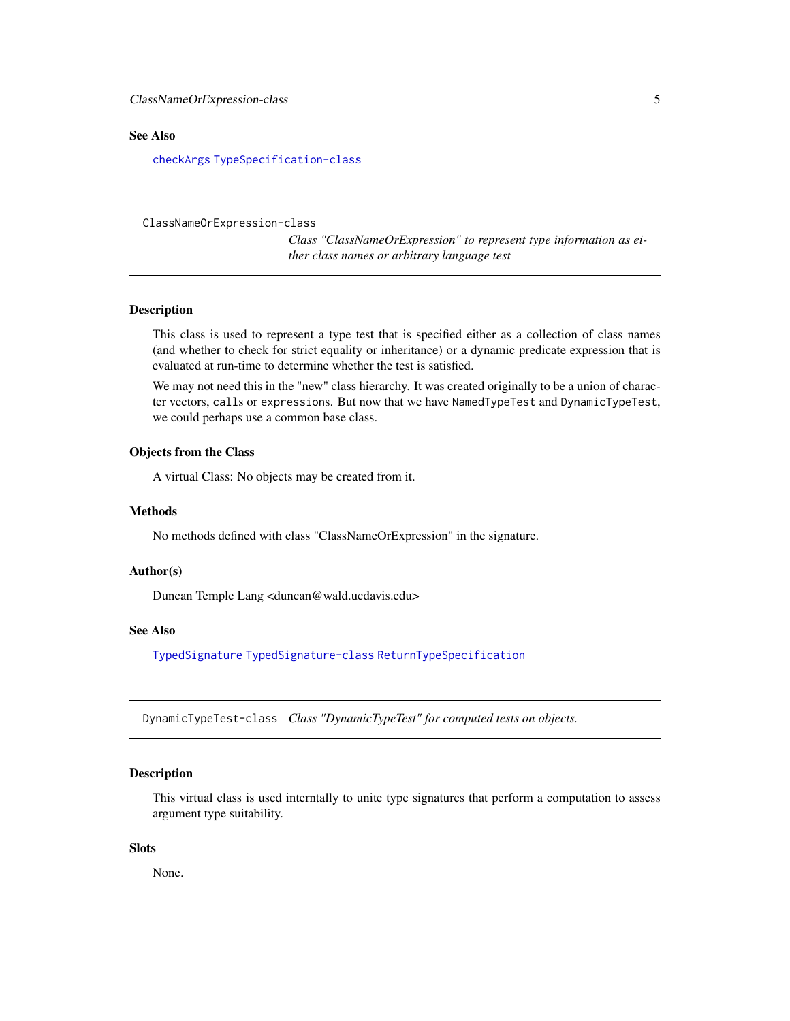# <span id="page-4-0"></span>See Also

[checkArgs](#page-1-1) [TypeSpecification-class](#page-17-2)

<span id="page-4-1"></span>ClassNameOrExpression-class

*Class "ClassNameOrExpression" to represent type information as either class names or arbitrary language test*

# Description

This class is used to represent a type test that is specified either as a collection of class names (and whether to check for strict equality or inheritance) or a dynamic predicate expression that is evaluated at run-time to determine whether the test is satisfied.

We may not need this in the "new" class hierarchy. It was created originally to be a union of character vectors, calls or expressions. But now that we have NamedTypeTest and DynamicTypeTest, we could perhaps use a common base class.

# Objects from the Class

A virtual Class: No objects may be created from it.

#### Methods

No methods defined with class "ClassNameOrExpression" in the signature.

#### Author(s)

Duncan Temple Lang <duncan@wald.ucdavis.edu>

# See Also

[TypedSignature](#page-14-1) [TypedSignature-class](#page-15-1) [ReturnTypeSpecification](#page-10-1)

<span id="page-4-2"></span>DynamicTypeTest-class *Class "DynamicTypeTest" for computed tests on objects.*

# Description

This virtual class is used interntally to unite type signatures that perform a computation to assess argument type suitability.

#### **Slots**

None.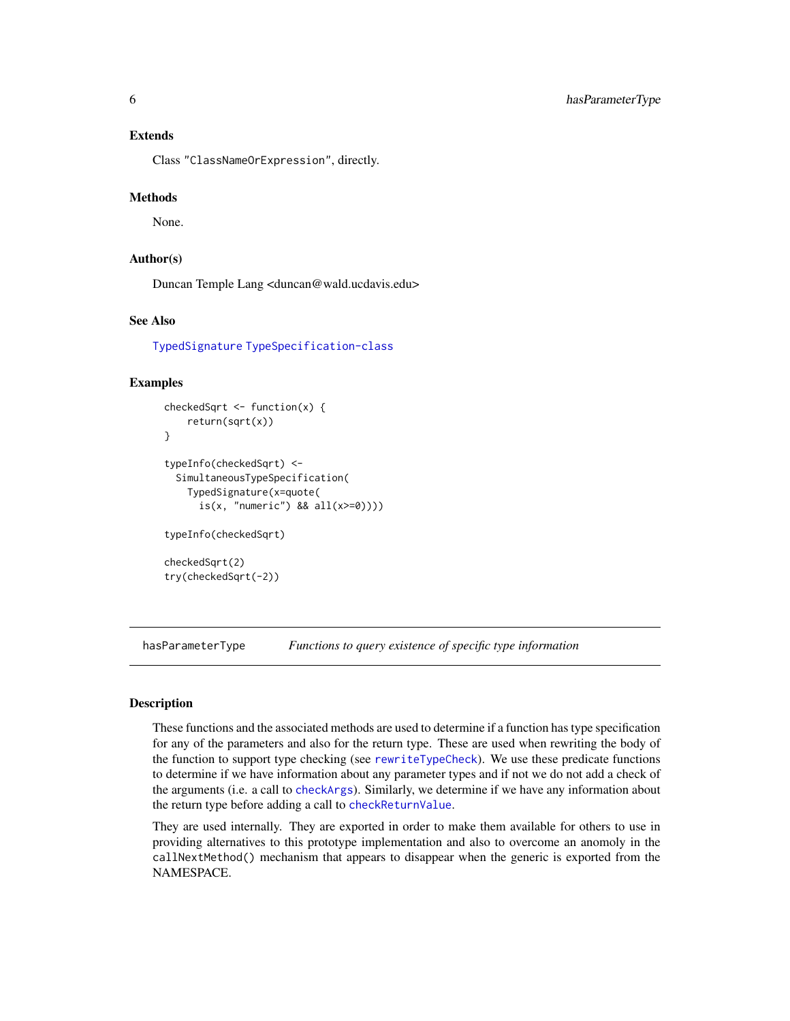# <span id="page-5-0"></span>Extends

Class "ClassNameOrExpression", directly.

#### Methods

None.

# Author(s)

Duncan Temple Lang <duncan@wald.ucdavis.edu>

# See Also

[TypedSignature](#page-14-1) [TypeSpecification-class](#page-17-2)

# Examples

```
checkedSqrt \leq function(x) {
    return(sqrt(x))
}
typeInfo(checkedSqrt) <-
  SimultaneousTypeSpecification(
    TypedSignature(x=quote(
      is(x, "numeric") && all(x>=0)))typeInfo(checkedSqrt)
checkedSqrt(2)
try(checkedSqrt(-2))
```
hasParameterType *Functions to query existence of specific type information*

# **Description**

These functions and the associated methods are used to determine if a function has type specification for any of the parameters and also for the return type. These are used when rewriting the body of the function to support type checking (see [rewriteTypeCheck](#page-11-1)). We use these predicate functions to determine if we have information about any parameter types and if not we do not add a check of the arguments (i.e. a call to [checkArgs](#page-1-1)). Similarly, we determine if we have any information about the return type before adding a call to [checkReturnValue](#page-3-1).

They are used internally. They are exported in order to make them available for others to use in providing alternatives to this prototype implementation and also to overcome an anomoly in the callNextMethod() mechanism that appears to disappear when the generic is exported from the NAMESPACE.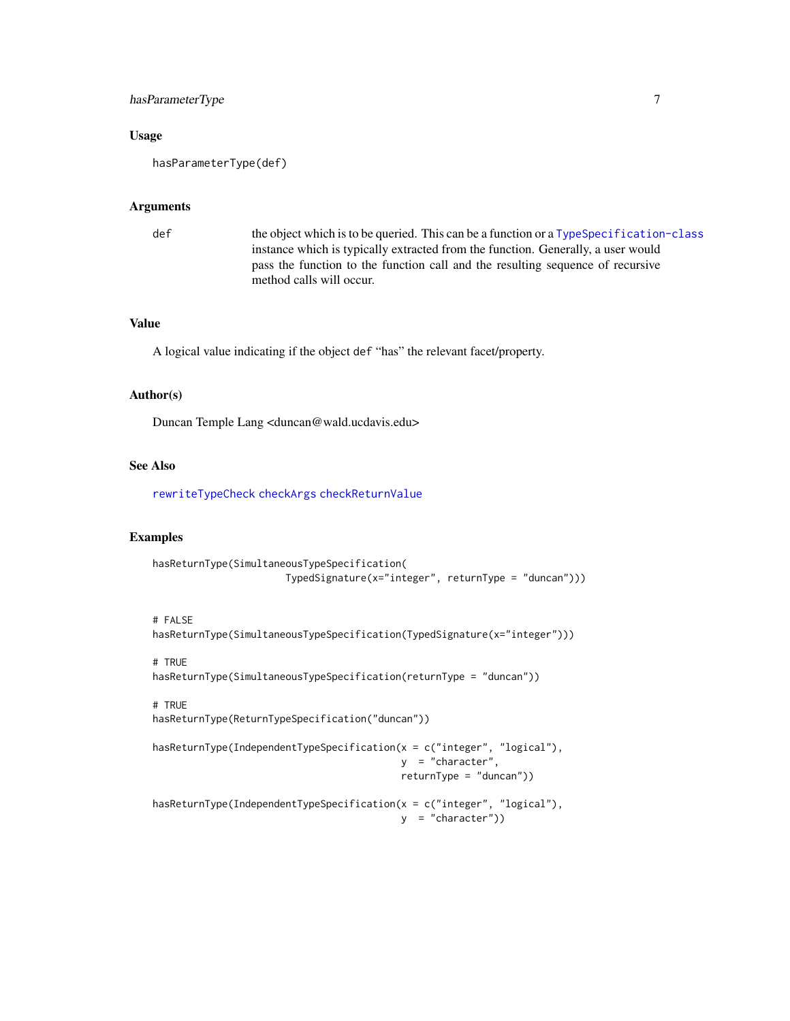# <span id="page-6-0"></span>hasParameterType 7

#### Usage

hasParameterType(def)

#### Arguments

def the object which is to be queried. This can be a function or a Type Specification-class instance which is typically extracted from the function. Generally, a user would pass the function to the function call and the resulting sequence of recursive method calls will occur.

# Value

A logical value indicating if the object def "has" the relevant facet/property.

#### Author(s)

Duncan Temple Lang <duncan@wald.ucdavis.edu>

# See Also

[rewriteTypeCheck](#page-11-1) [checkArgs](#page-1-1) [checkReturnValue](#page-3-1)

#### Examples

```
hasReturnType(SimultaneousTypeSpecification(
                       TypedSignature(x="integer", returnType = "duncan")))
```
#### # FALSE

```
hasReturnType(SimultaneousTypeSpecification(TypedSignature(x="integer")))
```
# # TRUE

hasReturnType(SimultaneousTypeSpecification(returnType = "duncan"))

# # TRUE

hasReturnType(ReturnTypeSpecification("duncan"))

```
hasReturnType(IndependentTypeSpecification(x = c("integer", "logical"),
                                           y = "character",
                                           returnType = "duncan"))
```

```
hasReturnType(IndependentTypeSpecification(x = c("integer", "logical"),
                                         y = "character")
```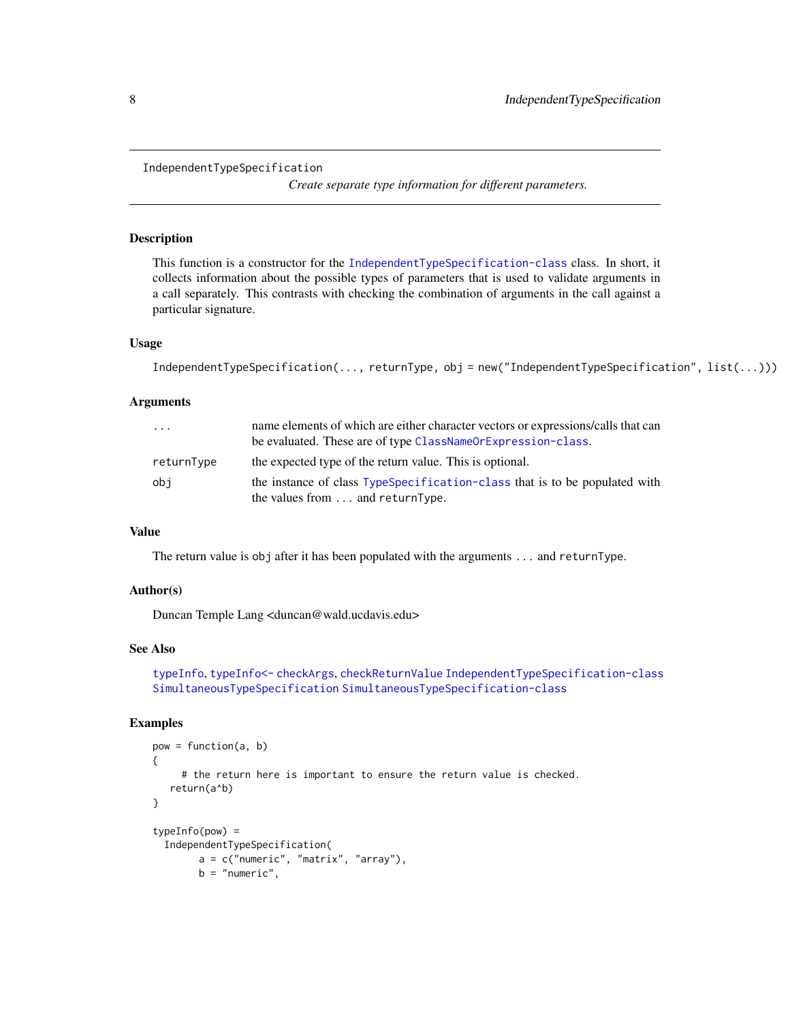```
IndependentTypeSpecification
```
*Create separate type information for different parameters.*

# Description

This function is a constructor for the [IndependentTypeSpecification-class](#page-17-1) class. In short, it collects information about the possible types of parameters that is used to validate arguments in a call separately. This contrasts with checking the combination of arguments in the call against a particular signature.

# Usage

```
IndependentTypeSpecification(..., returnType, obj = new("IndependentTypeSpecification", list(...)))
```
# Arguments

| .          | name elements of which are either character vectors or expressions/calls that can<br>be evaluated. These are of type ClassNameOrExpression-class. |
|------------|---------------------------------------------------------------------------------------------------------------------------------------------------|
| returnType | the expected type of the return value. This is optional.                                                                                          |
| obi        | the instance of class TypeSpecification-class that is to be populated with<br>the values from $\dots$ and returnType.                             |

# Value

The return value is obj after it has been populated with the arguments ... and returnType.

#### Author(s)

Duncan Temple Lang <duncan@wald.ucdavis.edu>

# See Also

```
typeInfo, typeInfo<- checkArgs, checkReturnValue IndependentTypeSpecification-class
SimultaneousTypeSpecification SimultaneousTypeSpecification-class
```
# Examples

```
pow = function(a, b)
{
     # the return here is important to ensure the return value is checked.
   return(a^b)
}
typeInfo(pow) =
 IndependentTypeSpecification(
       a = c("numeric", "matrix", "array"),
       b = "numeric",
```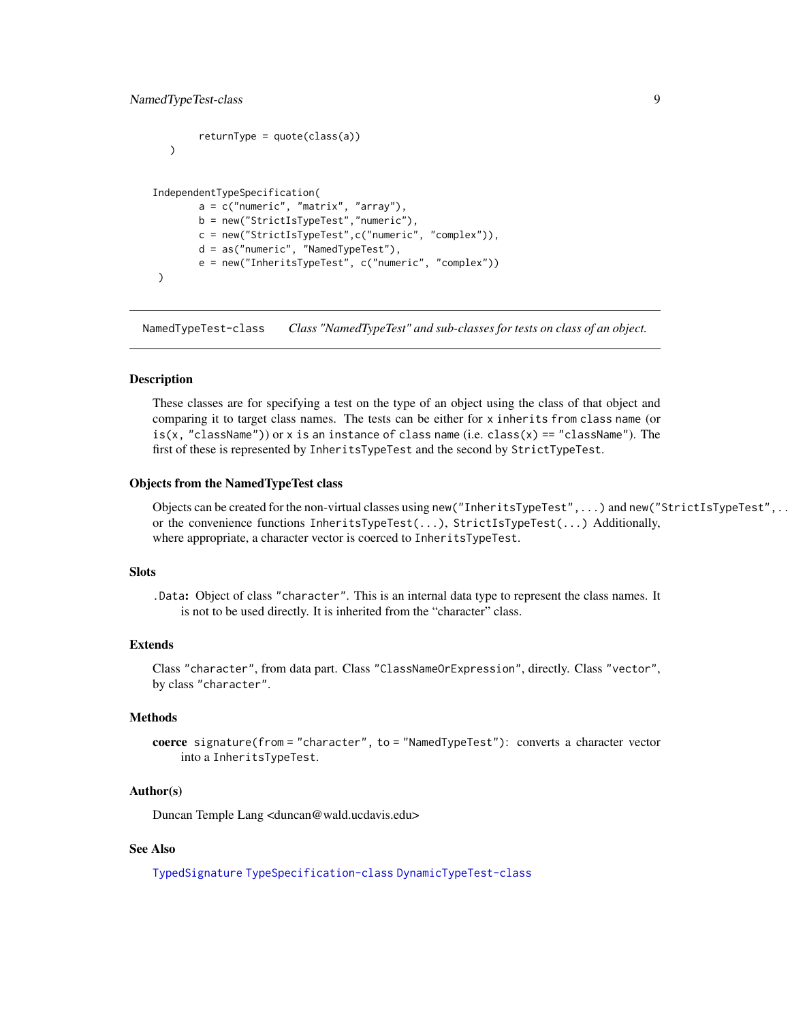```
returnType = quote(class(a)))
IndependentTypeSpecification(
       a = c("numeric", "matrix", "array"),
       b = new("StrictIsTypeTest","numeric"),
       c = new("StrictIsTypeTest",c("numeric", "complex")),
       d = as("numeric", "NamedTypeTest"),
       e = new("InheritsTypeTest", c("numeric", "complex"))
)
```
<span id="page-8-1"></span>NamedTypeTest-class *Class "NamedTypeTest" and sub-classes for tests on class of an object.*

#### Description

These classes are for specifying a test on the type of an object using the class of that object and comparing it to target class names. The tests can be either for x inherits from class name (or is(x, "className")) or x is an instance of class name (i.e. class(x) == "className"). The first of these is represented by InheritsTypeTest and the second by StrictTypeTest.

#### Objects from the NamedTypeTest class

Objects can be created for the non-virtual classes using new("InheritsTypeTest",...) and new("StrictIsTypeTest",...) or the convenience functions InheritsTypeTest(...), StrictIsTypeTest(...) Additionally, where appropriate, a character vector is coerced to InheritsTypeTest.

#### Slots

.Data: Object of class "character". This is an internal data type to represent the class names. It is not to be used directly. It is inherited from the "character" class.

#### Extends

Class "character", from data part. Class "ClassNameOrExpression", directly. Class "vector", by class "character".

#### Methods

coerce signature(from = "character", to = "NamedTypeTest"): converts a character vector into a InheritsTypeTest.

#### Author(s)

Duncan Temple Lang <duncan@wald.ucdavis.edu>

# See Also

[TypedSignature](#page-14-1) [TypeSpecification-class](#page-17-2) [DynamicTypeTest-class](#page-4-2)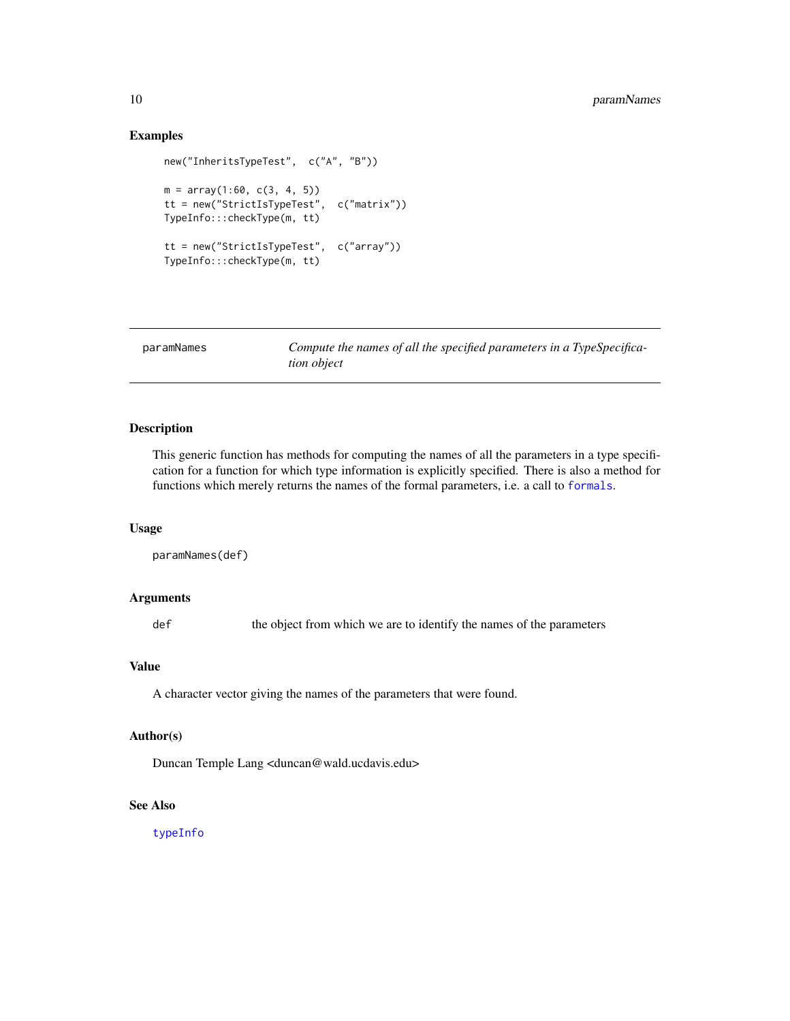# Examples

```
new("InheritsTypeTest", c("A", "B"))
m = array(1:60, c(3, 4, 5))tt = new("StrictIsTypeTest", c("matrix"))
TypeInfo:::checkType(m, tt)
tt = new("StrictIsTypeTest", c("array"))
TypeInfo:::checkType(m, tt)
```

| paramNames | Compute the names of all the specified parameters in a TypeSpecifica- |
|------------|-----------------------------------------------------------------------|
|            | <i>tion object</i>                                                    |

# Description

This generic function has methods for computing the names of all the parameters in a type specification for a function for which type information is explicitly specified. There is also a method for functions which merely returns the names of the formal parameters, i.e. a call to [formals](#page-0-0).

# Usage

```
paramNames(def)
```
# Arguments

def the object from which we are to identify the names of the parameters

# Value

A character vector giving the names of the parameters that were found.

# Author(s)

Duncan Temple Lang <duncan@wald.ucdavis.edu>

# See Also

[typeInfo](#page-16-1)

<span id="page-9-0"></span>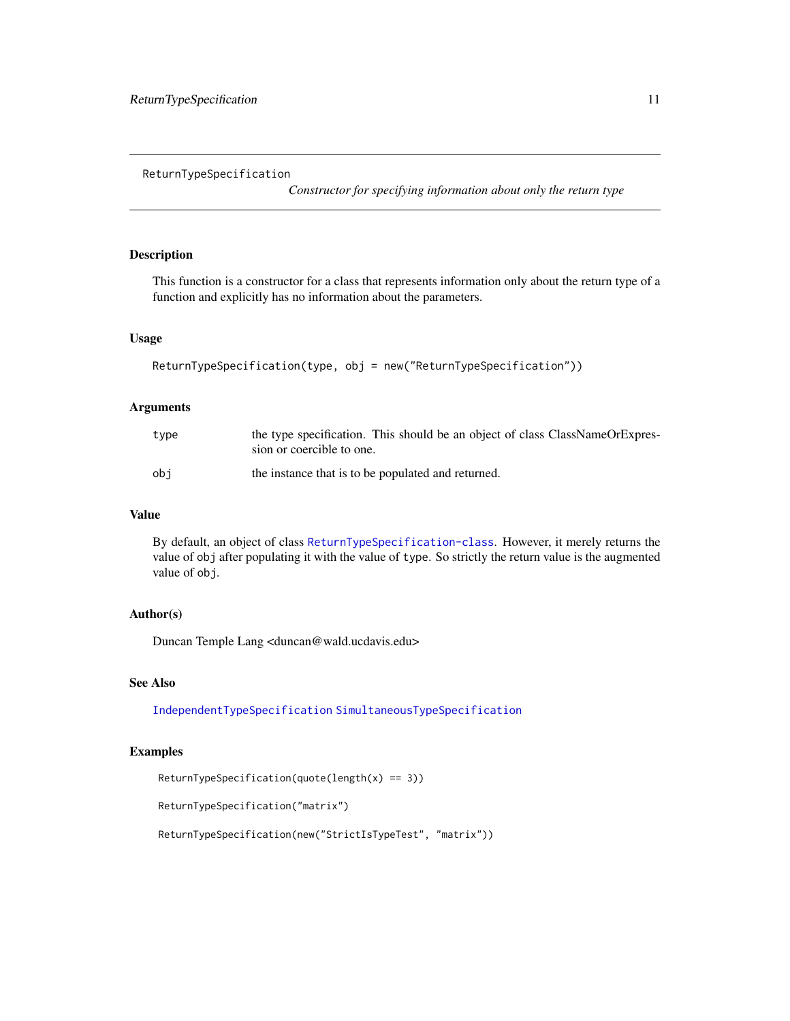<span id="page-10-1"></span><span id="page-10-0"></span>ReturnTypeSpecification

*Constructor for specifying information about only the return type*

# Description

This function is a constructor for a class that represents information only about the return type of a function and explicitly has no information about the parameters.

# Usage

```
ReturnTypeSpecification(type, obj = new("ReturnTypeSpecification"))
```
#### Arguments

| type | the type specification. This should be an object of class ClassNameOrExpres-<br>sion or coercible to one. |
|------|-----------------------------------------------------------------------------------------------------------|
| obi  | the instance that is to be populated and returned.                                                        |

# Value

By default, an object of class [ReturnTypeSpecification-class](#page-17-1). However, it merely returns the value of obj after populating it with the value of type. So strictly the return value is the augmented value of obj.

# Author(s)

Duncan Temple Lang <duncan@wald.ucdavis.edu>

# See Also

[IndependentTypeSpecification](#page-7-1) [SimultaneousTypeSpecification](#page-13-1)

#### Examples

ReturnTypeSpecification(quote(length(x) == 3))

ReturnTypeSpecification("matrix")

ReturnTypeSpecification(new("StrictIsTypeTest", "matrix"))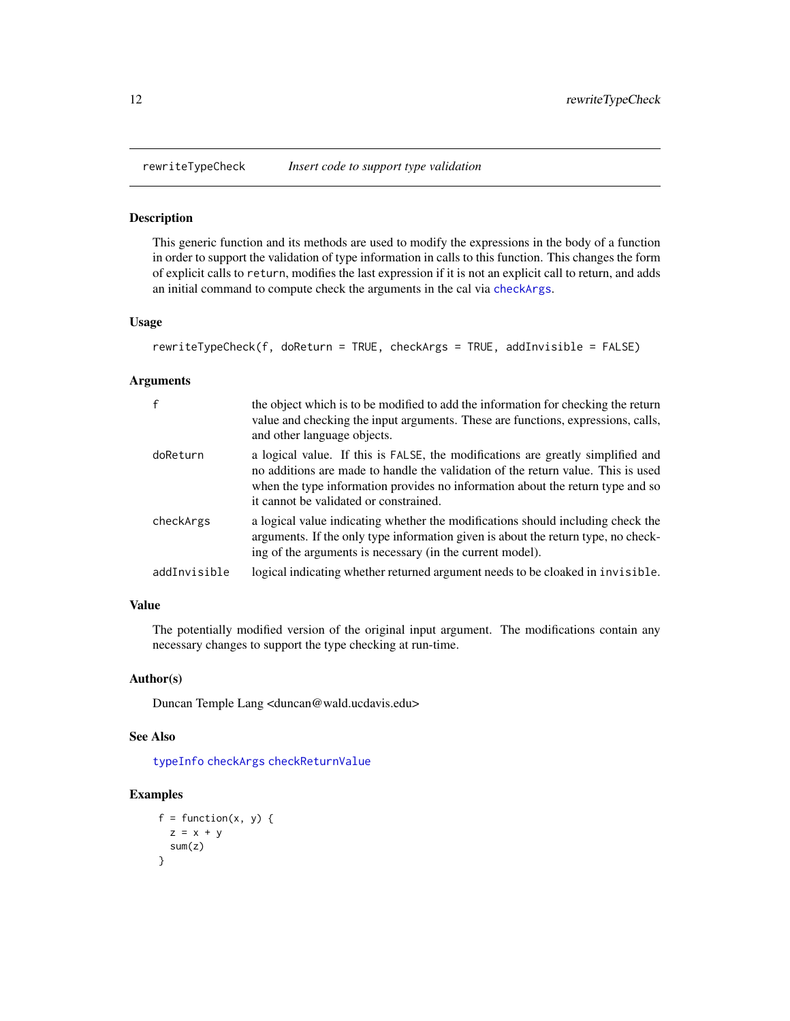<span id="page-11-1"></span><span id="page-11-0"></span>

#### Description

This generic function and its methods are used to modify the expressions in the body of a function in order to support the validation of type information in calls to this function. This changes the form of explicit calls to return, modifies the last expression if it is not an explicit call to return, and adds an initial command to compute check the arguments in the cal via [checkArgs](#page-1-1).

#### Usage

```
rewriteTypeCheck(f, doReturn = TRUE, checkArgs = TRUE, addInvisible = FALSE)
```
#### Arguments

| $\mathsf{f}$ | the object which is to be modified to add the information for checking the return<br>value and checking the input arguments. These are functions, expressions, calls,<br>and other language objects.                                                                                            |
|--------------|-------------------------------------------------------------------------------------------------------------------------------------------------------------------------------------------------------------------------------------------------------------------------------------------------|
| doReturn     | a logical value. If this is FALSE, the modifications are greatly simplified and<br>no additions are made to handle the validation of the return value. This is used<br>when the type information provides no information about the return type and so<br>it cannot be validated or constrained. |
| checkArgs    | a logical value indicating whether the modifications should including check the<br>arguments. If the only type information given is about the return type, no check-<br>ing of the arguments is necessary (in the current model).                                                               |
| addInvisible | logical indicating whether returned argument needs to be cloaked in invisible.                                                                                                                                                                                                                  |

# Value

The potentially modified version of the original input argument. The modifications contain any necessary changes to support the type checking at run-time.

# Author(s)

Duncan Temple Lang <duncan@wald.ucdavis.edu>

# See Also

[typeInfo](#page-16-1) [checkArgs](#page-1-1) [checkReturnValue](#page-3-1)

# Examples

```
f = function(x, y) {
 z = x + ysum(z)
}
```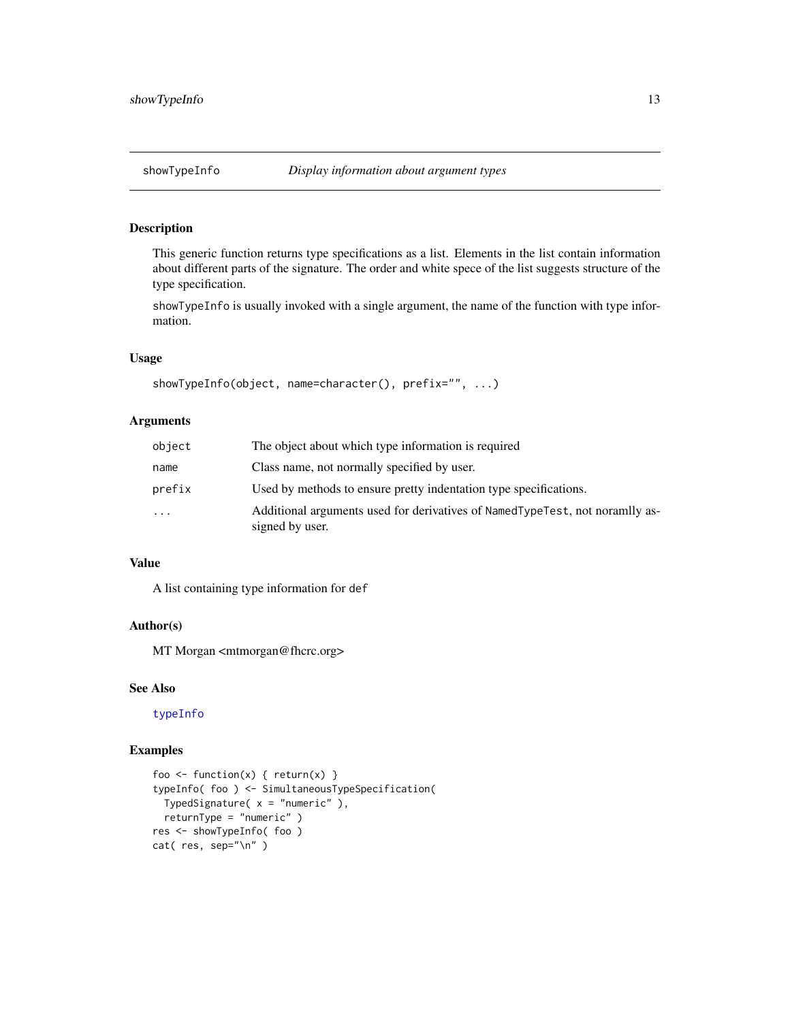# <span id="page-12-0"></span>Description

This generic function returns type specifications as a list. Elements in the list contain information about different parts of the signature. The order and white spece of the list suggests structure of the type specification.

showTypeInfo is usually invoked with a single argument, the name of the function with type information.

# Usage

```
showTypeInfo(object, name=character(), prefix="", ...)
```
# Arguments

| object | The object about which type information is required                                             |
|--------|-------------------------------------------------------------------------------------------------|
| name   | Class name, not normally specified by user.                                                     |
| prefix | Used by methods to ensure pretty indentation type specifications.                               |
| .      | Additional arguments used for derivatives of NamedTypeTest, not noramlly as-<br>signed by user. |

# Value

A list containing type information for def

#### Author(s)

MT Morgan <mtmorgan@fhcrc.org>

# See Also

[typeInfo](#page-16-1)

# Examples

```
foo <- function(x) { return(x) }
typeInfo( foo ) <- SimultaneousTypeSpecification(
 TypedSignature(x = "numeric"),
 returnType = "numeric" )
res <- showTypeInfo( foo )
cat( res, sep="\n" )
```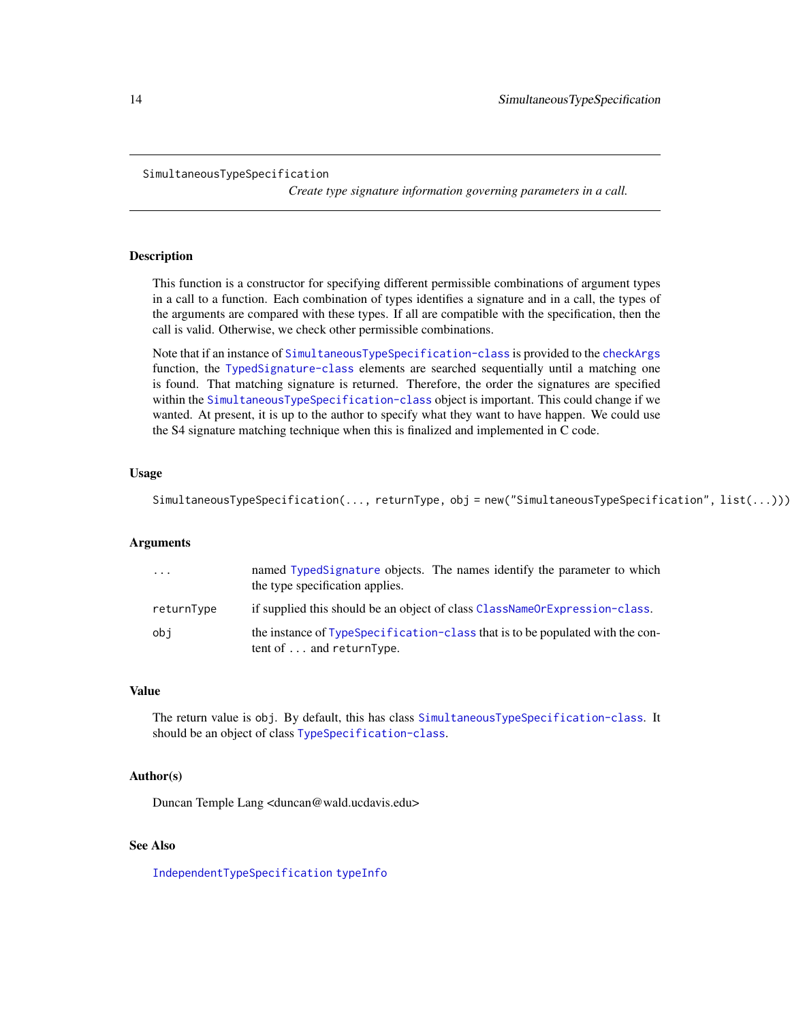#### <span id="page-13-1"></span><span id="page-13-0"></span>SimultaneousTypeSpecification

*Create type signature information governing parameters in a call.*

# Description

This function is a constructor for specifying different permissible combinations of argument types in a call to a function. Each combination of types identifies a signature and in a call, the types of the arguments are compared with these types. If all are compatible with the specification, then the call is valid. Otherwise, we check other permissible combinations.

Note that if an instance of [SimultaneousTypeSpecification-class](#page-17-1) is provided to the [checkArgs](#page-1-1) function, the [TypedSignature-class](#page-15-1) elements are searched sequentially until a matching one is found. That matching signature is returned. Therefore, the order the signatures are specified within the [SimultaneousTypeSpecification-class](#page-17-1) object is important. This could change if we wanted. At present, it is up to the author to specify what they want to have happen. We could use the S4 signature matching technique when this is finalized and implemented in C code.

# Usage

SimultaneousTypeSpecification(..., returnType, obj = new("SimultaneousTypeSpecification", list(...)))

# Arguments

| .          | named TypedSignature objects. The names identify the parameter to which<br>the type specification applies.        |
|------------|-------------------------------------------------------------------------------------------------------------------|
| returnType | if supplied this should be an object of class ClassNameOrExpression-class.                                        |
| obi        | the instance of TypeSpecification-class that is to be populated with the con-<br>tent of $\dots$ and return Type. |

#### Value

The return value is obj. By default, this has class [SimultaneousTypeSpecification-class](#page-17-1). It should be an object of class [TypeSpecification-class](#page-17-2).

#### Author(s)

Duncan Temple Lang <duncan@wald.ucdavis.edu>

# See Also

[IndependentTypeSpecification](#page-7-1) [typeInfo](#page-16-1)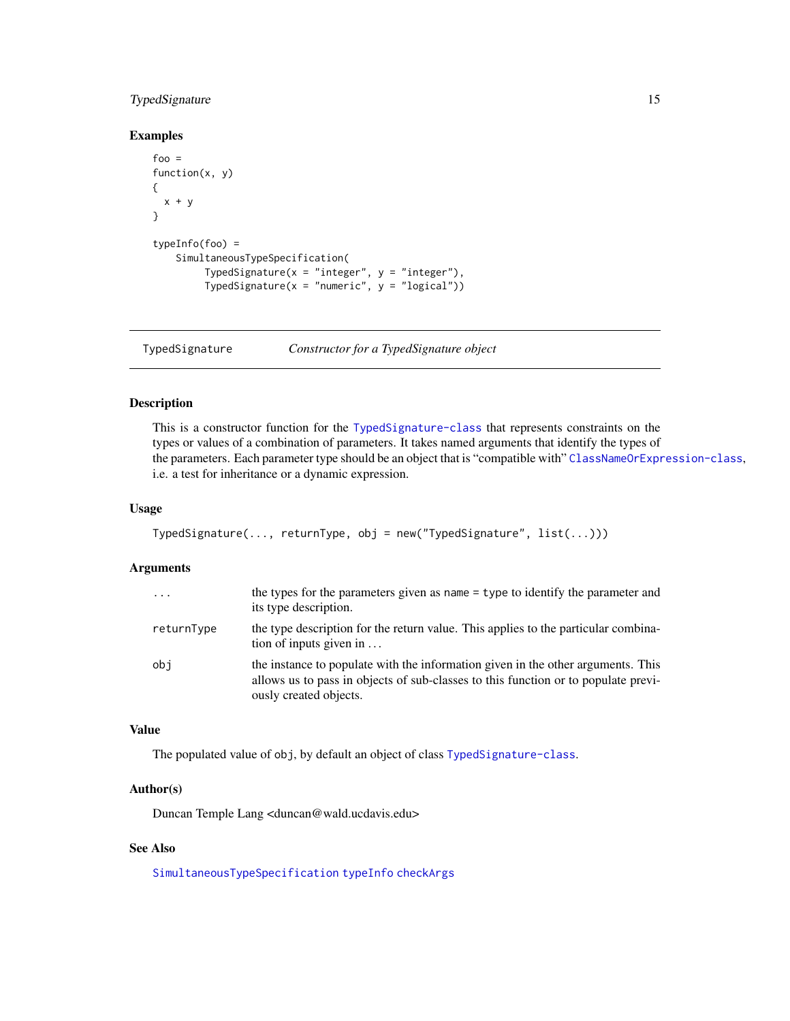# <span id="page-14-0"></span>TypedSignature 15

#### Examples

```
foo =function(x, y)
{
  x + y}
typeInfo(foo) =
    SimultaneousTypeSpecification(
        TypedSignature(x = "integer", y = "integer"),TypedSignature(x = "numeric", y = "logical"))
```
<span id="page-14-1"></span>TypedSignature *Constructor for a TypedSignature object*

# Description

This is a constructor function for the [TypedSignature-class](#page-15-1) that represents constraints on the types or values of a combination of parameters. It takes named arguments that identify the types of the parameters. Each parameter type should be an object that is "compatible with" [ClassNameOrExpression-class](#page-4-1), i.e. a test for inheritance or a dynamic expression.

# Usage

```
TypedSignature(..., returnType, obj = new("TypedSignature", list(...)))
```
# Arguments

| $\cdot \cdot \cdot$ | the types for the parameters given as name $=$ type to identify the parameter and<br>its type description.                                                                                       |
|---------------------|--------------------------------------------------------------------------------------------------------------------------------------------------------------------------------------------------|
| returnType          | the type description for the return value. This applies to the particular combina-<br>tion of inputs given in $\dots$                                                                            |
| obi                 | the instance to populate with the information given in the other arguments. This<br>allows us to pass in objects of sub-classes to this function or to populate previ-<br>ously created objects. |

# Value

The populated value of obj, by default an object of class [TypedSignature-class](#page-15-1).

# Author(s)

Duncan Temple Lang <duncan@wald.ucdavis.edu>

# See Also

[SimultaneousTypeSpecification](#page-13-1) [typeInfo](#page-16-1) [checkArgs](#page-1-1)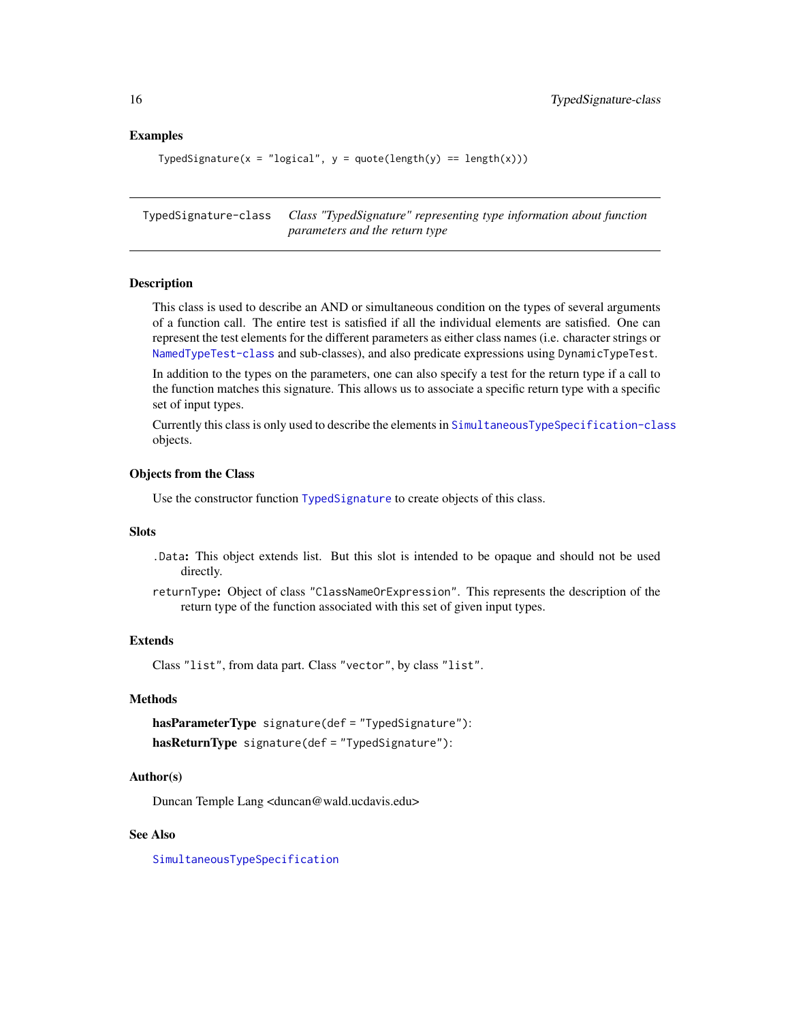# Examples

```
TypedSignature(x = "logical", y = quote(length(y) == length(x)))
```
<span id="page-15-1"></span>TypedSignature-class *Class "TypedSignature" representing type information about function parameters and the return type*

# **Description**

This class is used to describe an AND or simultaneous condition on the types of several arguments of a function call. The entire test is satisfied if all the individual elements are satisfied. One can represent the test elements for the different parameters as either class names (i.e. character strings or [NamedTypeTest-class](#page-8-1) and sub-classes), and also predicate expressions using DynamicTypeTest.

In addition to the types on the parameters, one can also specify a test for the return type if a call to the function matches this signature. This allows us to associate a specific return type with a specific set of input types.

Currently this class is only used to describe the elements in [SimultaneousTypeSpecification-class](#page-17-1) objects.

# Objects from the Class

Use the constructor function [TypedSignature](#page-14-1) to create objects of this class.

# Slots

.Data: This object extends list. But this slot is intended to be opaque and should not be used directly.

returnType: Object of class "ClassNameOrExpression". This represents the description of the return type of the function associated with this set of given input types.

# Extends

Class "list", from data part. Class "vector", by class "list".

# Methods

```
hasParameterType signature(def = "TypedSignature"):
```

```
hasReturnType signature(def = "TypedSignature"):
```
# Author(s)

Duncan Temple Lang <duncan@wald.ucdavis.edu>

#### See Also

[SimultaneousTypeSpecification](#page-13-1)

<span id="page-15-0"></span>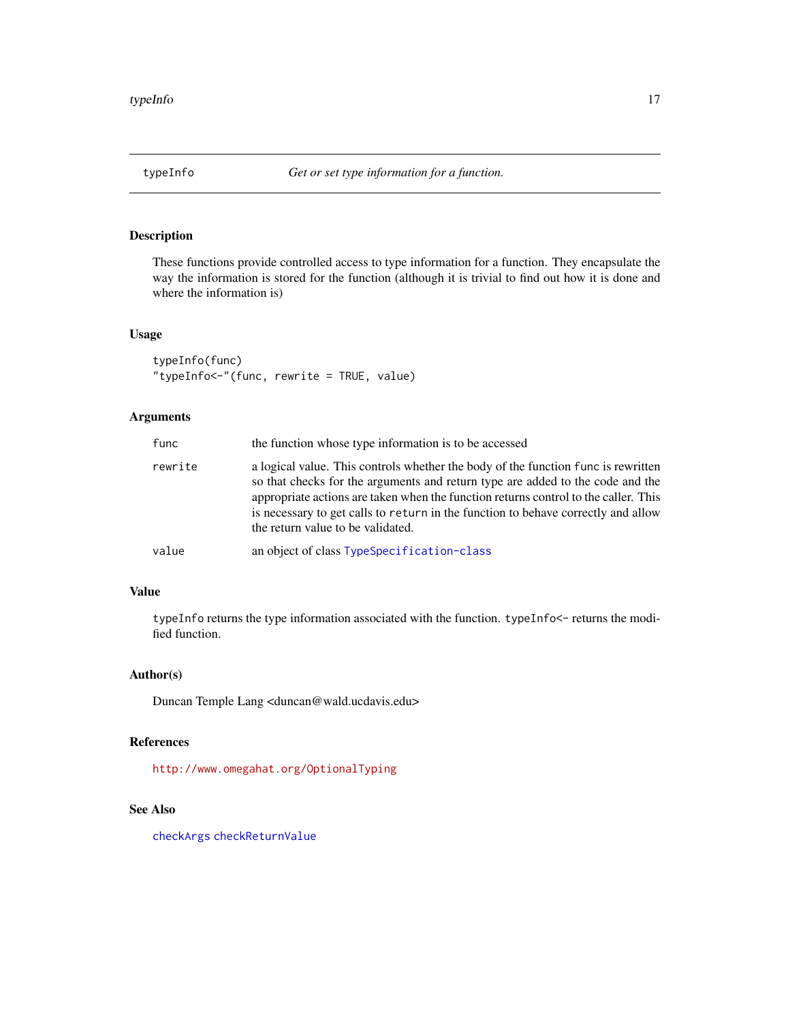<span id="page-16-1"></span><span id="page-16-0"></span>

# <span id="page-16-2"></span>Description

These functions provide controlled access to type information for a function. They encapsulate the way the information is stored for the function (although it is trivial to find out how it is done and where the information is)

# Usage

```
typeInfo(func)
"typeInfo<-"(func, rewrite = TRUE, value)
```
# Arguments

| func    | the function whose type information is to be accessed                                                                                                                                                                                                                                                                                                                                |
|---------|--------------------------------------------------------------------------------------------------------------------------------------------------------------------------------------------------------------------------------------------------------------------------------------------------------------------------------------------------------------------------------------|
| rewrite | a logical value. This controls whether the body of the function func is rewritten<br>so that checks for the arguments and return type are added to the code and the<br>appropriate actions are taken when the function returns control to the caller. This<br>is necessary to get calls to return in the function to behave correctly and allow<br>the return value to be validated. |
| value   | an object of class TypeSpecification-class                                                                                                                                                                                                                                                                                                                                           |

#### Value

typeInfo returns the type information associated with the function. typeInfo<- returns the modified function.

# Author(s)

Duncan Temple Lang <duncan@wald.ucdavis.edu>

# References

<http://www.omegahat.org/OptionalTyping>

# See Also

[checkArgs](#page-1-1) [checkReturnValue](#page-3-1)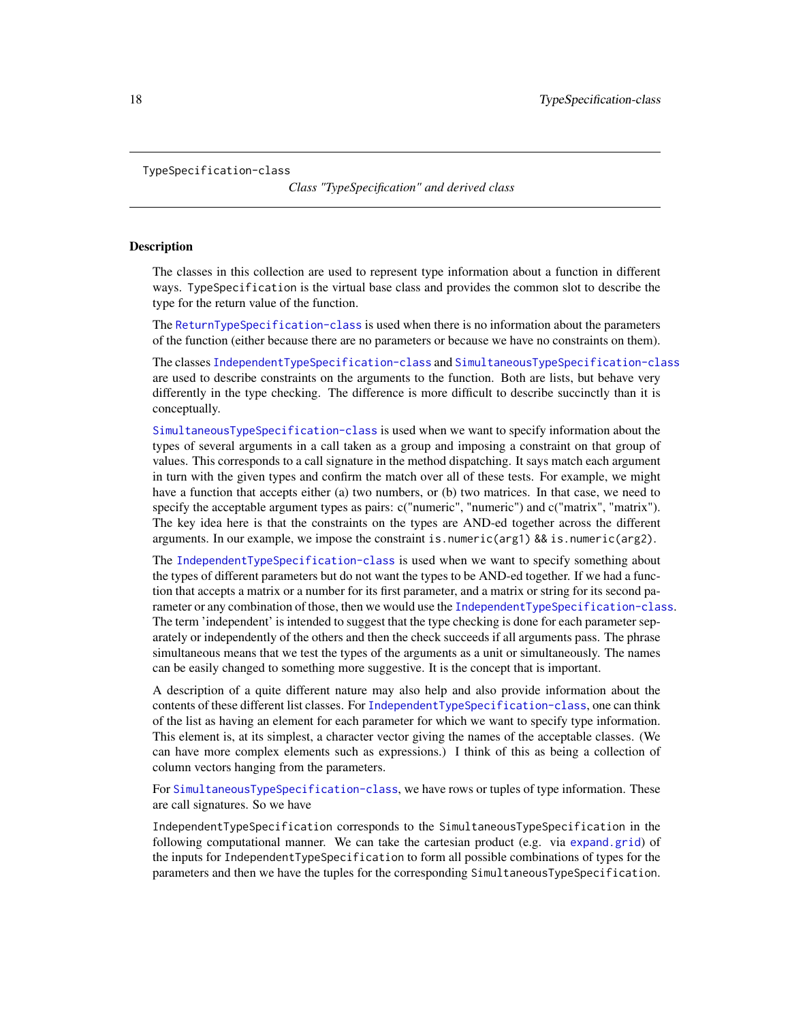<span id="page-17-2"></span><span id="page-17-0"></span>TypeSpecification-class

*Class "TypeSpecification" and derived class*

#### <span id="page-17-1"></span>**Description**

The classes in this collection are used to represent type information about a function in different ways. TypeSpecification is the virtual base class and provides the common slot to describe the type for the return value of the function.

The [ReturnTypeSpecification-class](#page-17-1) is used when there is no information about the parameters of the function (either because there are no parameters or because we have no constraints on them).

The classes [IndependentTypeSpecification-class](#page-17-1) and [SimultaneousTypeSpecification-class](#page-17-1) are used to describe constraints on the arguments to the function. Both are lists, but behave very differently in the type checking. The difference is more difficult to describe succinctly than it is conceptually.

[SimultaneousTypeSpecification-class](#page-17-1) is used when we want to specify information about the types of several arguments in a call taken as a group and imposing a constraint on that group of values. This corresponds to a call signature in the method dispatching. It says match each argument in turn with the given types and confirm the match over all of these tests. For example, we might have a function that accepts either (a) two numbers, or (b) two matrices. In that case, we need to specify the acceptable argument types as pairs:  $c("numeric", "numeric")$  and  $c("matrix", "matrix".$ The key idea here is that the constraints on the types are AND-ed together across the different arguments. In our example, we impose the constraint is.numeric(arg1) && is.numeric(arg2).

The [IndependentTypeSpecification-class](#page-17-1) is used when we want to specify something about the types of different parameters but do not want the types to be AND-ed together. If we had a function that accepts a matrix or a number for its first parameter, and a matrix or string for its second parameter or any combination of those, then we would use the [IndependentTypeSpecification-class](#page-17-1). The term 'independent' is intended to suggest that the type checking is done for each parameter separately or independently of the others and then the check succeeds if all arguments pass. The phrase simultaneous means that we test the types of the arguments as a unit or simultaneously. The names can be easily changed to something more suggestive. It is the concept that is important.

A description of a quite different nature may also help and also provide information about the contents of these different list classes. For [IndependentTypeSpecification-class](#page-17-1), one can think of the list as having an element for each parameter for which we want to specify type information. This element is, at its simplest, a character vector giving the names of the acceptable classes. (We can have more complex elements such as expressions.) I think of this as being a collection of column vectors hanging from the parameters.

For [SimultaneousTypeSpecification-class](#page-17-1), we have rows or tuples of type information. These are call signatures. So we have

IndependentTypeSpecification corresponds to the SimultaneousTypeSpecification in the following computational manner. We can take the cartesian product (e.g. via [expand.grid](#page-0-0)) of the inputs for IndependentTypeSpecification to form all possible combinations of types for the parameters and then we have the tuples for the corresponding SimultaneousTypeSpecification.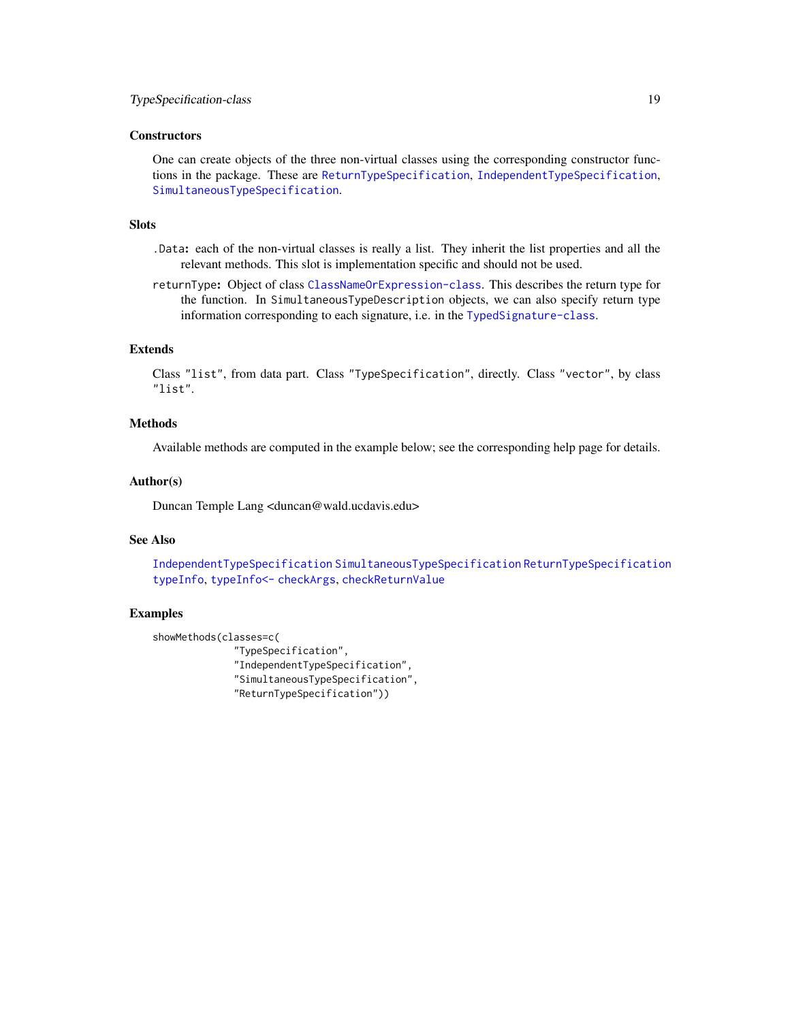#### <span id="page-18-0"></span>**Constructors**

One can create objects of the three non-virtual classes using the corresponding constructor functions in the package. These are [ReturnTypeSpecification](#page-10-1), [IndependentTypeSpecification](#page-7-1), [SimultaneousTypeSpecification](#page-13-1).

#### Slots

- .Data: each of the non-virtual classes is really a list. They inherit the list properties and all the relevant methods. This slot is implementation specific and should not be used.
- returnType: Object of class [ClassNameOrExpression-class](#page-4-1). This describes the return type for the function. In SimultaneousTypeDescription objects, we can also specify return type information corresponding to each signature, i.e. in the [TypedSignature-class](#page-15-1).

### Extends

Class "list", from data part. Class "TypeSpecification", directly. Class "vector", by class "list".

#### Methods

Available methods are computed in the example below; see the corresponding help page for details.

# Author(s)

Duncan Temple Lang <duncan@wald.ucdavis.edu>

# See Also

[IndependentTypeSpecification](#page-7-1) [SimultaneousTypeSpecification](#page-13-1) [ReturnTypeSpecification](#page-10-1) [typeInfo](#page-16-1), [typeInfo<-](#page-16-2) [checkArgs](#page-1-1), [checkReturnValue](#page-3-1)

# Examples

```
showMethods(classes=c(
```

```
"TypeSpecification",
"IndependentTypeSpecification",
"SimultaneousTypeSpecification",
"ReturnTypeSpecification"))
```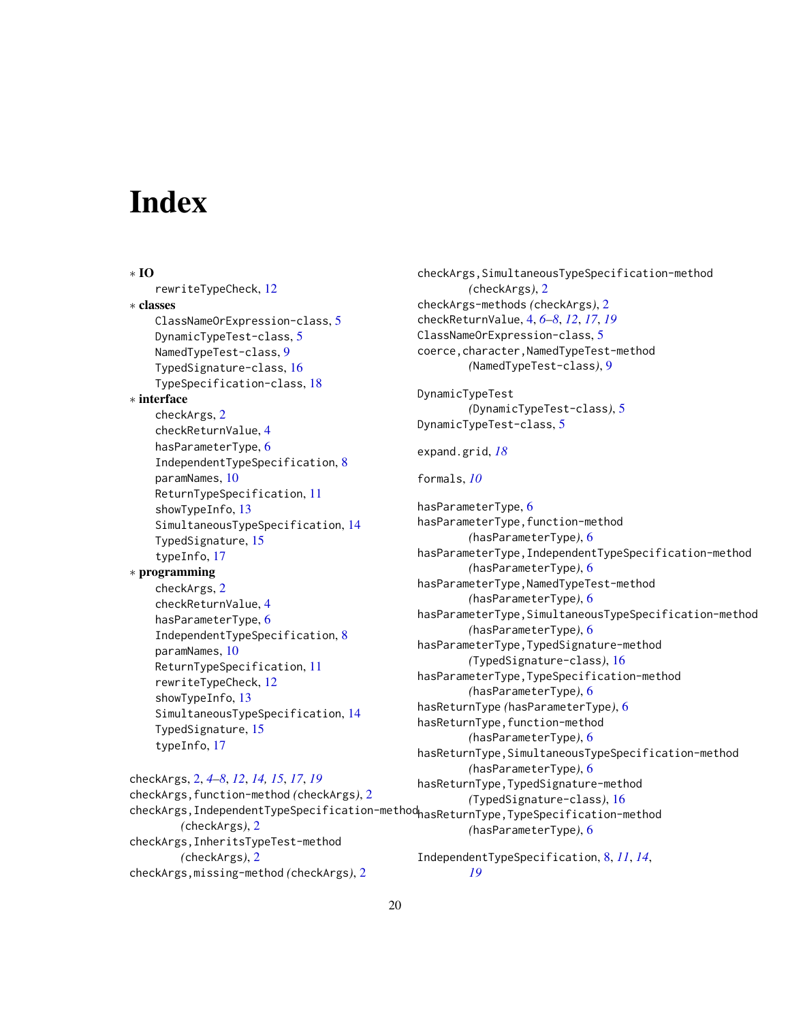# <span id="page-19-0"></span>**Index**

∗ IO rewriteTypeCheck, [12](#page-11-0) ∗ classes ClassNameOrExpression-class, [5](#page-4-0) DynamicTypeTest-class, [5](#page-4-0) NamedTypeTest-class, [9](#page-8-0) TypedSignature-class, [16](#page-15-0) TypeSpecification-class, [18](#page-17-0) ∗ interface checkArgs, [2](#page-1-0) checkReturnValue, [4](#page-3-0) hasParameterType, [6](#page-5-0) IndependentTypeSpecification, [8](#page-7-0) paramNames, [10](#page-9-0) ReturnTypeSpecification, [11](#page-10-0) showTypeInfo, [13](#page-12-0) SimultaneousTypeSpecification, [14](#page-13-0) TypedSignature, [15](#page-14-0) typeInfo, [17](#page-16-0) ∗ programming checkArgs, [2](#page-1-0) checkReturnValue, [4](#page-3-0) hasParameterType, [6](#page-5-0) IndependentTypeSpecification, [8](#page-7-0) paramNames, [10](#page-9-0) ReturnTypeSpecification, [11](#page-10-0) rewriteTypeCheck, [12](#page-11-0) showTypeInfo, [13](#page-12-0) SimultaneousTypeSpecification, [14](#page-13-0) TypedSignature, [15](#page-14-0) typeInfo, [17](#page-16-0)

checkArgs,IndependentTypeSpecification-method hasReturnType,TypeSpecification-method checkArgs,SimultaneousTypeSpecification-method *(*checkArgs*)*, [2](#page-1-0) checkArgs-methods *(*checkArgs*)*, [2](#page-1-0) checkReturnValue, [4,](#page-3-0) *[6](#page-5-0)[–8](#page-7-0)*, *[12](#page-11-0)*, *[17](#page-16-0)*, *[19](#page-18-0)* ClassNameOrExpression-class, [5](#page-4-0) coerce,character,NamedTypeTest-method *(*NamedTypeTest-class*)*, [9](#page-8-0) DynamicTypeTest *(*DynamicTypeTest-class*)*, [5](#page-4-0) DynamicTypeTest-class, [5](#page-4-0) expand.grid, *[18](#page-17-0)* formals, *[10](#page-9-0)* hasParameterType, [6](#page-5-0) hasParameterType,function-method *(*hasParameterType*)*, [6](#page-5-0) hasParameterType,IndependentTypeSpecification-method *(*hasParameterType*)*, [6](#page-5-0) hasParameterType,NamedTypeTest-method *(*hasParameterType*)*, [6](#page-5-0) hasParameterType,SimultaneousTypeSpecification-method *(*hasParameterType*)*, [6](#page-5-0) hasParameterType,TypedSignature-method *(*TypedSignature-class*)*, [16](#page-15-0) hasParameterType,TypeSpecification-method *(*hasParameterType*)*, [6](#page-5-0) hasReturnType *(*hasParameterType*)*, [6](#page-5-0) hasReturnType,function-method *(*hasParameterType*)*, [6](#page-5-0) hasReturnType,SimultaneousTypeSpecification-method *(*hasParameterType*)*, [6](#page-5-0) hasReturnType,TypedSignature-method *(*TypedSignature-class*)*, [16](#page-15-0) *(*hasParameterType*)*, [6](#page-5-0) IndependentTypeSpecification, [8,](#page-7-0) *[11](#page-10-0)*, *[14](#page-13-0)*,

checkArgs,InheritsTypeTest-method *(*checkArgs*)*, [2](#page-1-0) checkArgs,missing-method *(*checkArgs*)*, [2](#page-1-0)

checkArgs, [2,](#page-1-0) *[4](#page-3-0)[–8](#page-7-0)*, *[12](#page-11-0)*, *[14,](#page-13-0) [15](#page-14-0)*, *[17](#page-16-0)*, *[19](#page-18-0)*

*(*checkArgs*)*, [2](#page-1-0)

checkArgs,function-method *(*checkArgs*)*, [2](#page-1-0)

*[19](#page-18-0)*